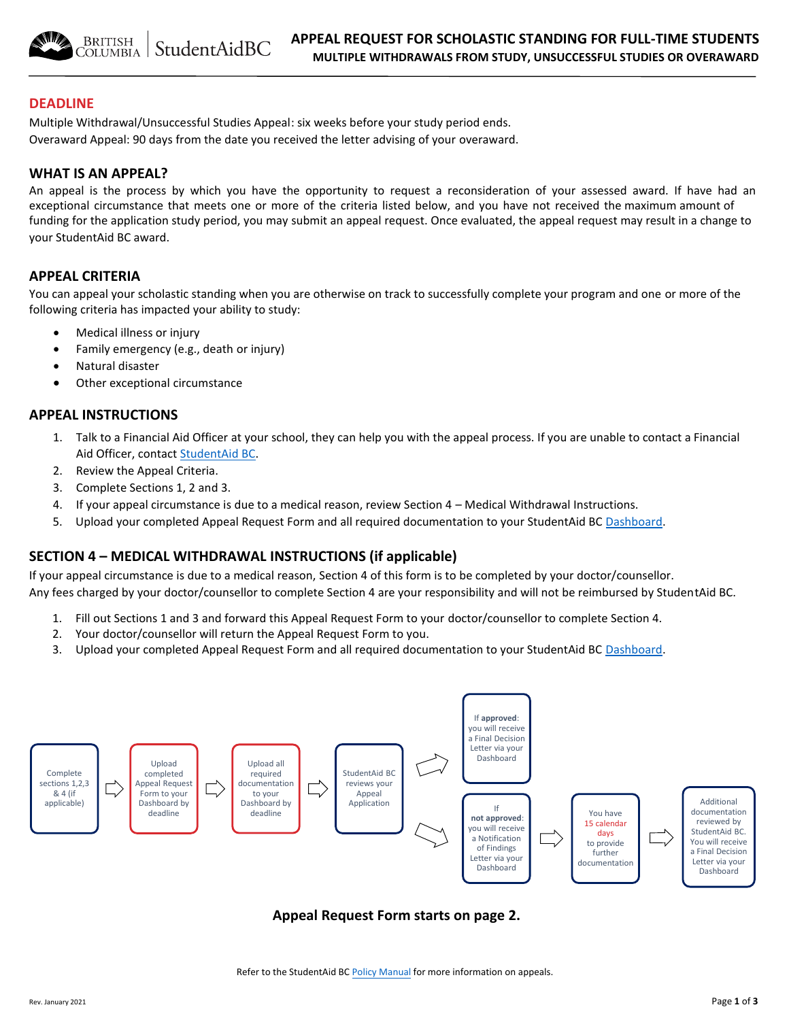**BRITISH** StudentAidBC Columbia |

## **DEADLINE**

Multiple Withdrawal/Unsuccessful Studies Appeal: six weeks before your study period ends. Overaward Appeal: 90 days from the date you received the letter advising of your overaward.

## **WHAT IS AN APPEAL?**

An appeal is the process by which you have the opportunity to request a reconsideration of your assessed award. If have had an exceptional circumstance that meets one or more of the criteria listed below, and you have not received the maximum amount of funding for the application [study period,](https://studentaidbc.ca/help-centre/loan-appeals/ask-appeal) you may submit an appeal request. Once evaluated, the appeal request may result in a change to your StudentAid BC award.

## **APPEAL CRITERIA**

You can appeal your scholastic standing when you are otherwise on track to successfully complete your program and one or more of the following criteria has impacted your ability to study:

- Medical illness or injury
- Family emergency (e.g., death or injury)
- Natural disaster
- Other exceptional circumstance

## **APPEAL INSTRUCTIONS**

- 1. Talk to a Financial Aid Officer at your school, they can help you with the appeal process. If you are unable to contact a Financial Aid Officer, contact [StudentAid BC.](https://studentaidbc.ca/contact-information)
- 2. Review the Appeal Criteria.
- 3. Complete Sections 1, 2 and 3.
- 4. If your appeal circumstance is due to a medical reason, review Section 4 Medical Withdrawal Instructions.
- 5. Upload your completed Appeal Request Form and all required documentation to your StudentAid BC [Dashboard.](https://studentaidbc.ca/dashboard)

## **SECTION 4 – MEDICAL WITHDRAWAL INSTRUCTIONS (if applicable)**

If your appeal circumstance is due to a medical reason, Section 4 of this form is to be completed by your doctor/counsellor. Any fees charged by your doctor/counsellor to complete Section 4 are your responsibility and will not be reimbursed by StudentAid BC.

- 1. Fill out Sections 1 and 3 and forward this Appeal Request Form to your doctor/counsellor to complete Section 4.
- 2. Your doctor/counsellor will return the Appeal Request Form to you.
- 3. Upload your completed Appeal Request Form and all required documentation to your StudentAid BC [Dashboard.](https://studentaidbc.ca/dashboard)



## **Appeal Request Form starts on page 2.**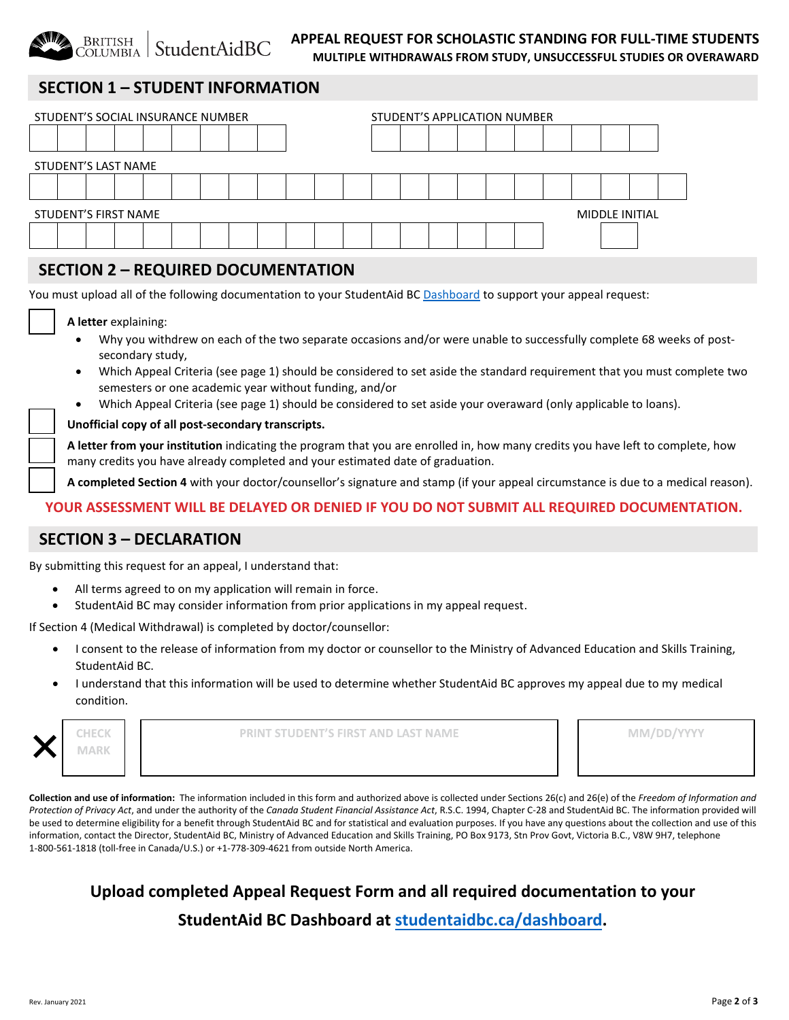

#### **APPEAL REQUEST FOR SCHOLASTIC STANDING FOR FULL-TIME STUDENTS MULTIPLE WITHDRAWALS FROM STUDY, UNSUCCESSFUL STUDIES OR OVERAWARD**

# **SECTION 1 – STUDENT INFORMATION**

| STUDENT'S SOCIAL INSURANCE NUMBER | STUDENT'S APPLICATION NUMBER |  |  |  |  |  |  |  |  |  |  |  |
|-----------------------------------|------------------------------|--|--|--|--|--|--|--|--|--|--|--|
|                                   |                              |  |  |  |  |  |  |  |  |  |  |  |
| STUDENT'S LAST NAME               |                              |  |  |  |  |  |  |  |  |  |  |  |
|                                   |                              |  |  |  |  |  |  |  |  |  |  |  |
| STUDENT'S FIRST NAME              | MIDDLE INITIAL               |  |  |  |  |  |  |  |  |  |  |  |
|                                   |                              |  |  |  |  |  |  |  |  |  |  |  |

# **SECTION 2 – REQUIRED DOCUMENTATION**

You must upload all of the following documentation to your StudentAid BC [Dashboard](https://studentaidbc.ca/dashboard) to support your appeal request:

#### **A letter** explaining:

- Why you withdrew on each of the two separate occasions and/or were unable to successfully complete 68 weeks of postsecondary study,
- Which Appeal Criteria (see page 1) should be considered to set aside the standard requirement that you must complete two semesters or one academic year without funding, and/or
- Which Appeal Criteria (see page 1) should be considered to set aside your overaward (only applicable to loans).

Unofficial copy of all post-secondary transcripts.

**A letter from your institution** indicating the program that you are enrolled in, how many credits you have left to complete, how many credits you have already completed and your estimated date of graduation.

**A completed Section 4** with your doctor/counsellor's signature and stamp (if your appeal circumstance is due to a medical reason).

## **YOUR ASSESSMENT WILL BE DELAYED OR DENIED IF YOU DO NOT SUBMIT ALL REQUIRED DOCUMENTATION.**

## **SECTION 3 – DECLARATION**

By submitting this request for an appeal, I understand that:

- All terms agreed to on my application will remain in force.
- StudentAid BC may consider information from prior applications in my appeal request.

If Section 4 (Medical Withdrawal) is completed by doctor/counsellor:

- I consent to the release of information from my doctor or counsellor to the Ministry of Advanced Education and Skills Training, StudentAid BC.
- I understand that this information will be used to determine whether StudentAid BC approves my appeal due to my medical condition.

| CHECK | <b>PRINT STUDENT'S FIRST AND LAST NAME</b> | MM/DD/YYYY |
|-------|--------------------------------------------|------------|
| MARK  |                                            |            |
|       |                                            |            |

**Collection and use of information:** The information included in this form and authorized above is collected under Sections 26(c) and 26(e) of the *Freedom of Information and Protection of Privacy Act*, and under the authority of the *Canada Student Financial Assistance Act*, R.S.C. 1994, Chapter C-28 and StudentAid BC. The information provided will be used to determine eligibility for a benefit through StudentAid BC and for statistical and evaluation purposes. If you have any questions about the collection and use of this information, contact the Director, StudentAid BC, Ministry of Advanced Education and Skills Training, PO Box 9173, Stn Prov Govt, Victoria B.C., V8W 9H7, telephone 1-800-561-1818 (toll-free in Canada/U.S.) or +1-778-309-4621 from outside North America.

# **Upload completed Appeal Request Form and all required documentation to your StudentAid BC Dashboard at [studentaidbc.ca/dashboar](www.studentaidbc.ca/dashboard)d.**